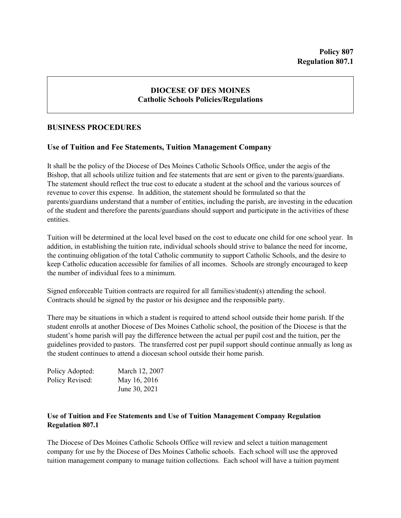## **DIOCESE OF DES MOINES Catholic Schools Policies/Regulations**

## **BUSINESS PROCEDURES**

## **Use of Tuition and Fee Statements, Tuition Management Company**

It shall be the policy of the Diocese of Des Moines Catholic Schools Office, under the aegis of the Bishop, that all schools utilize tuition and fee statements that are sent or given to the parents/guardians. The statement should reflect the true cost to educate a student at the school and the various sources of revenue to cover this expense. In addition, the statement should be formulated so that the parents/guardians understand that a number of entities, including the parish, are investing in the education of the student and therefore the parents/guardians should support and participate in the activities of these entities.

Tuition will be determined at the local level based on the cost to educate one child for one school year. In addition, in establishing the tuition rate, individual schools should strive to balance the need for income, the continuing obligation of the total Catholic community to support Catholic Schools, and the desire to keep Catholic education accessible for families of all incomes. Schools are strongly encouraged to keep the number of individual fees to a minimum.

Signed enforceable Tuition contracts are required for all families/student(s) attending the school. Contracts should be signed by the pastor or his designee and the responsible party.

There may be situations in which a student is required to attend school outside their home parish. If the student enrolls at another Diocese of Des Moines Catholic school, the position of the Diocese is that the student's home parish will pay the difference between the actual per pupil cost and the tuition, per the guidelines provided to pastors. The transferred cost per pupil support should continue annually as long as the student continues to attend a diocesan school outside their home parish.

| Policy Adopted: | March 12, 2007 |
|-----------------|----------------|
| Policy Revised: | May 16, 2016   |
|                 | June 30, 2021  |

## **Use of Tuition and Fee Statements and Use of Tuition Management Company Regulation Regulation 807.1**

The Diocese of Des Moines Catholic Schools Office will review and select a tuition management company for use by the Diocese of Des Moines Catholic schools. Each school will use the approved tuition management company to manage tuition collections. Each school will have a tuition payment